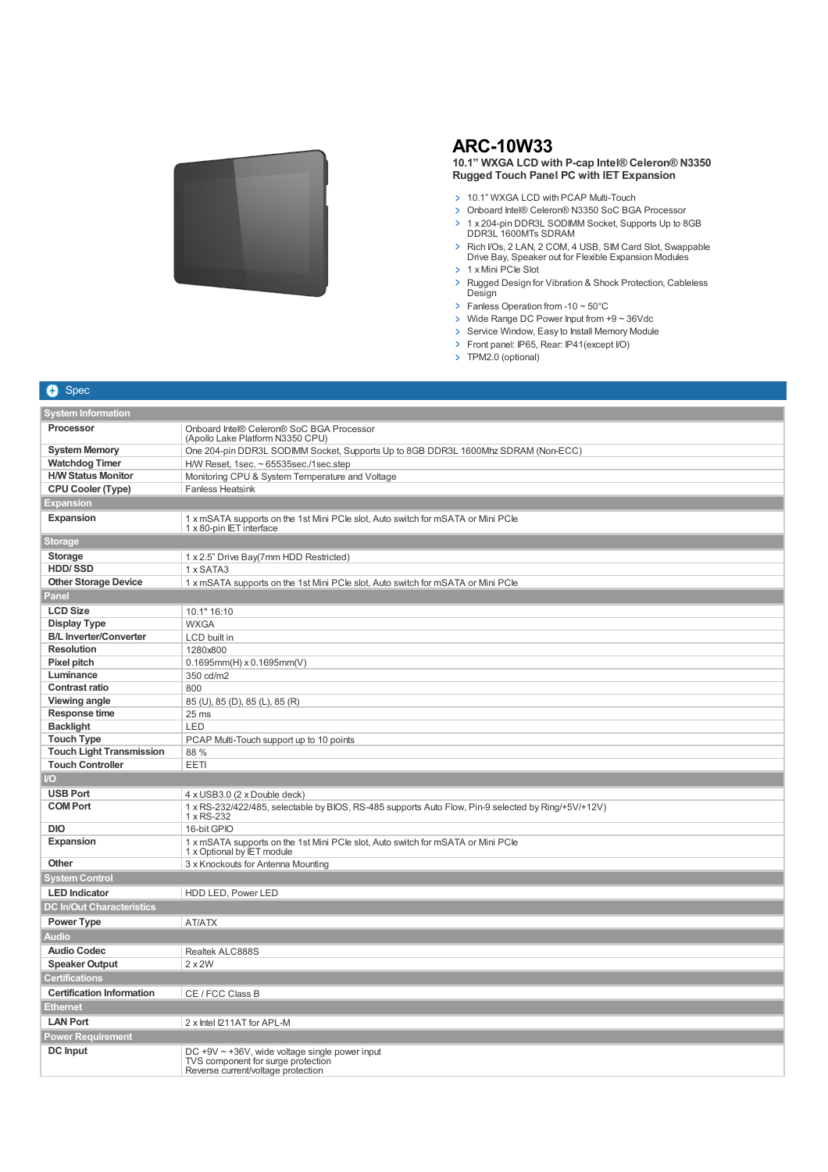

**+** Spec

## **ARC-10W33**

## **10.1" WXGA LCD with P-cap Intel® Celeron® N3350 Rugged Touch Panel PC with IET Expansion**

- > 10.1" WXGA LCD with PCAP Multi-Touch
- Onboard Intel® Celeron® N3350 SoC BGA Processor
- > 1 x 204-pin DDR3L SODIMM Socket, Supports Up to 8GB DDR3L 1600MTs SDRAM
- > Rich I/Os, 2 LAN, 2 COM, 4 USB, SIM Card Slot, Swappable Drive Bay, Speaker out for Flexible Expansion Modules
- > 1 x Mini PCIe Slot
- > Rugged Design for Vibration & Shock Protection, Cableless Design
- $\triangleright$  Fanless Operation from -10 ~ 50°C
- > Wide Range DC Power Input from +9 ~ 36Vdc
- > Service Window, Easy to Install Memory Module
- Front panel: IP65, Rear: IP41(except I/O)
- > TPM2.0 (optional)

| <b>System Information</b>        |                                                                                                                                  |  |
|----------------------------------|----------------------------------------------------------------------------------------------------------------------------------|--|
| Processor                        | Onboard Intel® Celeron® SoC BGA Processor<br>(Apollo Lake Platform N3350 CPU)                                                    |  |
| <b>System Memory</b>             | One 204-pin DDR3L SODIMM Socket, Supports Up to 8GB DDR3L 1600Mhz SDRAM (Non-ECC)                                                |  |
| <b>Watchdog Timer</b>            | H/W Reset, 1sec. ~ 65535sec./1sec.step                                                                                           |  |
| <b>H/W Status Monitor</b>        | Monitoring CPU & System Temperature and Voltage                                                                                  |  |
| <b>CPU Cooler (Type)</b>         | <b>Fanless Heatsink</b>                                                                                                          |  |
| Expansion                        |                                                                                                                                  |  |
| <b>Expansion</b>                 | 1 x mSATA supports on the 1st Mini PCIe slot, Auto switch for mSATA or Mini PCIe<br>1 x 80-pin IET interface                     |  |
| Storage                          |                                                                                                                                  |  |
| <b>Storage</b>                   | 1 x 2.5" Drive Bay(7mm HDD Restricted)                                                                                           |  |
| <b>HDD/SSD</b>                   | 1 x SATA3                                                                                                                        |  |
| <b>Other Storage Device</b>      | 1 x mSATA supports on the 1st Mini PCIe slot, Auto switch for mSATA or Mini PCIe                                                 |  |
| Panel                            |                                                                                                                                  |  |
| <b>LCD Size</b>                  | 10.1" 16:10                                                                                                                      |  |
| <b>Display Type</b>              | <b>WXGA</b>                                                                                                                      |  |
| <b>B/L Inverter/Converter</b>    | LCD built in                                                                                                                     |  |
| <b>Resolution</b>                | 1280x800                                                                                                                         |  |
| Pixel pitch                      | $0.1695$ mm $(H)$ x 0.1695mm $(V)$                                                                                               |  |
| Luminance                        | 350 cd/m2                                                                                                                        |  |
| <b>Contrast ratio</b>            | 800                                                                                                                              |  |
| <b>Viewing angle</b>             | 85 (U), 85 (D), 85 (L), 85 (R)                                                                                                   |  |
| Response time                    | 25 <sub>ms</sub>                                                                                                                 |  |
| <b>Backlight</b>                 | LED                                                                                                                              |  |
| <b>Touch Type</b>                | PCAP Multi-Touch support up to 10 points                                                                                         |  |
| <b>Touch Light Transmission</b>  | 88 %                                                                                                                             |  |
| <b>Touch Controller</b>          | <b>EETI</b>                                                                                                                      |  |
| $\overline{O}$                   |                                                                                                                                  |  |
| <b>USB Port</b>                  | 4 x USB3.0 (2 x Double deck)                                                                                                     |  |
| <b>COM Port</b>                  | 1 x RS-232/422/485, selectable by BIOS, RS-485 supports Auto Flow, Pin-9 selected by Ring/+5V/+12V)<br>1 x RS-232                |  |
| <b>DIO</b>                       | 16-bit GPIO                                                                                                                      |  |
| <b>Expansion</b>                 | 1 x mSATA supports on the 1st Mini PCIe slot, Auto switch for mSATA or Mini PCIe<br>1 x Optional by IET module                   |  |
| Other                            | 3 x Knockouts for Antenna Mounting                                                                                               |  |
| <b>System Control</b>            |                                                                                                                                  |  |
| <b>LED</b> Indicator             | HDD LED, Power LED                                                                                                               |  |
| <b>DC In/Out Characteristics</b> |                                                                                                                                  |  |
| <b>Power Type</b>                | AT/ATX                                                                                                                           |  |
| <b>Audio</b>                     |                                                                                                                                  |  |
| <b>Audio Codec</b>               | Realtek ALC888S                                                                                                                  |  |
| <b>Speaker Output</b>            | $2 \times 2W$                                                                                                                    |  |
| <b>Certifications</b>            |                                                                                                                                  |  |
| <b>Certification Information</b> | CE / FCC Class B                                                                                                                 |  |
| <b>Ethernet</b>                  |                                                                                                                                  |  |
| <b>LAN Port</b>                  | 2 x Intel I211AT for APL-M                                                                                                       |  |
|                                  |                                                                                                                                  |  |
| Power Requirement                |                                                                                                                                  |  |
| <b>DC</b> Input                  | DC $+9V \sim +36V$ , wide voltage single power input<br>TVS component for surge protection<br>Reverse current/voltage protection |  |